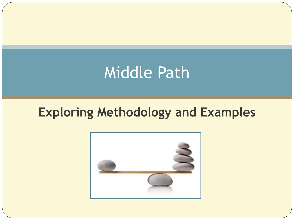# Middle Path

### **Exploring Methodology and Examples**

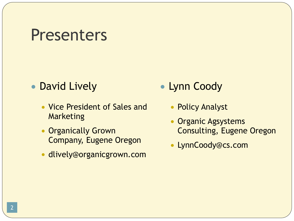### Presenters

#### • David Lively

- Vice President of Sales and Marketing
- Organically Grown Company, Eugene Oregon
- dlively@organicgrown.com
- **Lynn Coody** 
	- Policy Analyst
	- Organic Agsystems Consulting, Eugene Oregon
	- LynnCoody@cs.com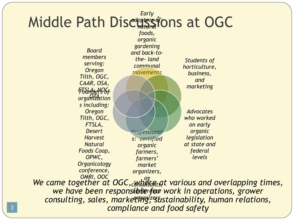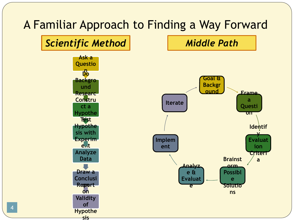#### A Familiar Approach to Finding a Way Forward



4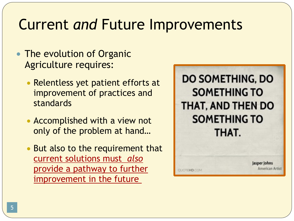# Current *and* Future Improvements

- The evolution of Organic Agriculture requires:
	- Relentless yet patient efforts at improvement of practices and standards
	- Accomplished with a view not only of the problem at hand…
	- But also to the requirement that current solutions must *also* provide a pathway to further improvement in the future



**UDTEHD.COM** 

Jasper Johns Imerican Artist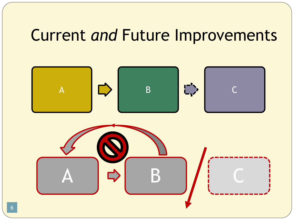# Current *and* Future Improvements

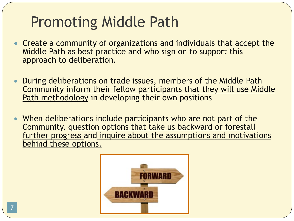# Promoting Middle Path

- Create a community of organizations and individuals that accept the Middle Path as best practice and who sign on to support this approach to deliberation.
- During deliberations on trade issues, members of the Middle Path Community inform their fellow participants that they will use Middle Path methodology in developing their own positions
- When deliberations include participants who are not part of the Community, question options that take us backward or forestall further progress and inquire about the assumptions and motivations behind these options.

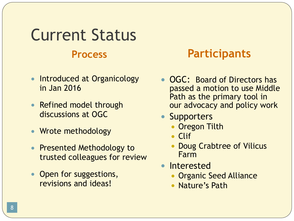# Current Status **Process Participants**

- Introduced at Organicology in Jan 2016
- Refined model through discussions at OGC
- Wrote methodology
- Presented Methodology to trusted colleagues for review
- Open for suggestions, revisions and ideas!

- OGC: Board of Directors has passed a motion to use Middle Path as the primary tool in our advocacy and policy work
- Supporters
	- Oregon Tilth
	- Clif
	- Doug Crabtree of Vilicus Farm
- Interested
	- Organic Seed Alliance
	- Nature's Path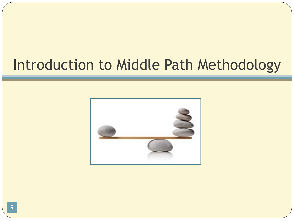# Introduction to Middle Path Methodology

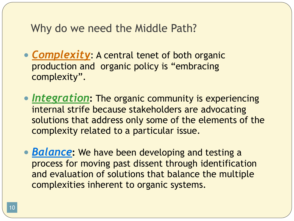#### Why do we need the Middle Path?

- **Complexity:** A central tenet of both organic production and organic policy is "embracing complexity".
- *Integration***:** The organic community is experiencing internal strife because stakeholders are advocating solutions that address only some of the elements of the complexity related to a particular issue.
- *Balance***:** We have been developing and testing a process for moving past dissent through identification and evaluation of solutions that balance the multiple complexities inherent to organic systems.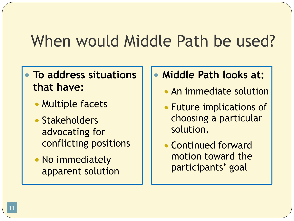# When would Middle Path be used?

#### ● **To address situations that have:**

- Multiple facets
- Stakeholders advocating for conflicting positions
- No immediately apparent solution
- **Middle Path looks at:**
	- An immediate solution
	- Future implications of choosing a particular solution,
	- Continued forward motion toward the participants' goal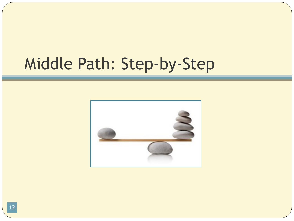# Middle Path: Step-by-Step

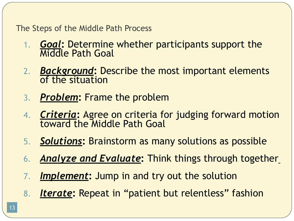The Steps of the Middle Path Process

- 1. **Goal:** Determine whether participants support the Middle Path Goal
- 2. **Background:** Describe the most important elements of the situation
- 3. *Problem***:** Frame the problem
- 4. *Criteria***:** Agree on criteria for judging forward motion toward the Middle Path Goal
- 5. *Solutions***:** Brainstorm as many solutions as possible
- 6. *Analyze and Evaluate***:** Think things through together
- 7. *Implement***:** Jump in and try out the solution
- 8. *Iterate***:** Repeat in "patient but relentless" fashion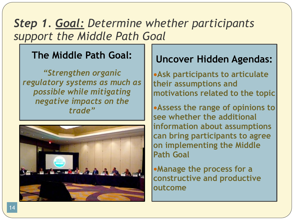### *Step 1. Goal: Determine whether participants support the Middle Path Goal*

#### **The Middle Path Goal:**

*"Strengthen organic regulatory systems as much as possible while mitigating negative impacts on the trade"*



#### **Uncover Hidden Agendas:**

●**Ask participants to articulate their assumptions and motivations related to the topic**

●**Assess the range of opinions to see whether the additional information about assumptions can bring participants to agree on implementing the Middle Path Goal**

●**Manage the process for a constructive and productive outcome**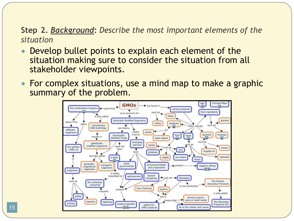**Step 2.** *Background***:** *Describe the most important elements of the situation*

- Develop bullet points to explain each element of the situation making sure to consider the situation from all stakeholder viewpoints.
- For complex situations, use a mind map to make a graphic summary of the problem.



15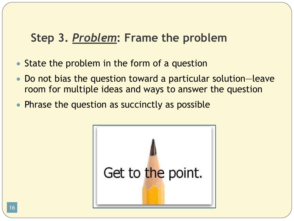### **Step 3.** *Problem***: Frame the problem**

- State the problem in the form of a question
- Do not bias the question toward a particular solution—leave room for multiple ideas and ways to answer the question
- Phrase the question as succinctly as possible

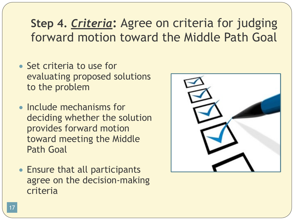### **Step 4.** *Criteria***:** Agree on criteria for judging forward motion toward the Middle Path Goal

- Set criteria to use for evaluating proposed solutions to the problem
- Include mechanisms for deciding whether the solution provides forward motion toward meeting the Middle Path Goal
- Ensure that all participants agree on the decision-making criteria

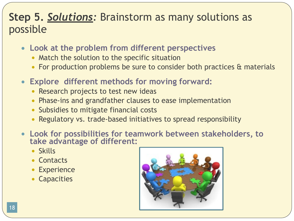#### **Step 5.** *Solutions:* Brainstorm as many solutions as possible

- **Look at the problem from different perspectives**
	- Match the solution to the specific situation
	- For production problems be sure to consider both practices & materials
- **Explore different methods for moving forward:**
	- Research projects to test new ideas
	- Phase-ins and grandfather clauses to ease implementation
	- Subsidies to mitigate financial costs
	- Regulatory vs. trade-based initiatives to spread responsibility
- **Look for possibilities for teamwork between stakeholders, to take advantage of different:**
	- Skills
	- Contacts
	- Experience
	- Capacities

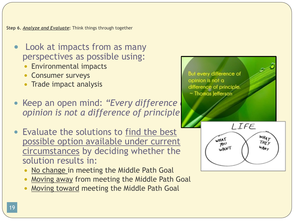**Step 6.** *Analyze and Evaluate***:** Think things through together

- Look at impacts from as many perspectives as possible using:
	- **Environmental impacts**
	- Consumer surveys
	- Trade impact analysis
- Keep an open mind: "Every difference *opinion is not a difference of principle"*
- Evaluate the solutions to find the best possible option available under current circumstances by deciding whether the solution results in:
	- No change in meeting the Middle Path Goal
	- Moving away from meeting the Middle Path Goal
	- Moving toward meeting the Middle Path Goal

But every difference of opinion is not a difference of principle ~ Thomas Jefferson

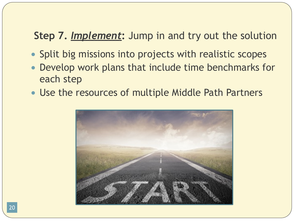#### **Step 7.** *Implement***:** Jump in and try out the solution

- Split big missions into projects with realistic scopes
- Develop work plans that include time benchmarks for each step
- Use the resources of multiple Middle Path Partners

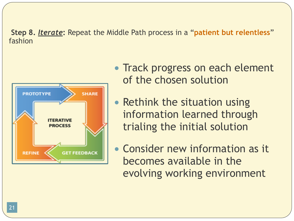**Step 8.** *Iterate***:** Repeat the Middle Path process in a "**patient but relentless**" fashion



- Track progress on each element of the chosen solution
- Rethink the situation using information learned through trialing the initial solution
- Consider new information as it becomes available in the evolving working environment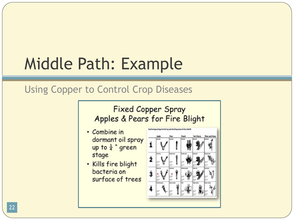# Middle Path: Example

#### Using Copper to Control Crop Diseases

#### **Fixed Copper Spray** Apples & Pears for Fire Blight

- Combine in dormant oil spray up to  $\frac{1}{4}$  " green stage
- . Kills fire blight bacteria on surface of trees

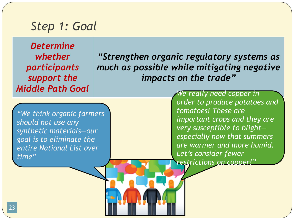#### *Step 1: Goal*

*Determine whether participants support the Middle Path Goal* 

*"Strengthen organic regulatory systems as much as possible while mitigating negative impacts on the trade"*

*"We think organic farmers should not use any synthetic materials—our goal is to eliminate the entire National List over time"* 

*We really need copper in order to produce potatoes and tomatoes! These are important crops and they are very susceptible to blight especially now that summers are warmer and more humid. Let's consider fewer restrictions on copper!"*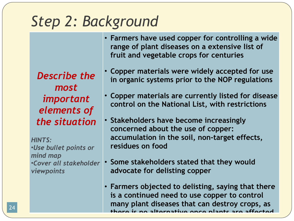## *Step 2: Background*

*Describe the most important elements of the situation*

*HINTS:*  •*Use bullet points or mind map* •*Cover all stakeholder viewpoints*

- **Farmers have used copper for controlling a wide range of plant diseases on a extensive list of fruit and vegetable crops for centuries**
- **Copper materials were widely accepted for use in organic systems prior to the NOP regulations**
- **Copper materials are currently listed for disease control on the National List, with restrictions**
- **Stakeholders have become increasingly concerned about the use of copper: accumulation in the soil, non-target effects, residues on food**
- **Some stakeholders stated that they would advocate for delisting copper**
- **Farmers objected to delisting, saying that there is a continued need to use copper to control many plant diseases that can destroy crops, as there is no alternative once plants are affected.** <sup>24</sup>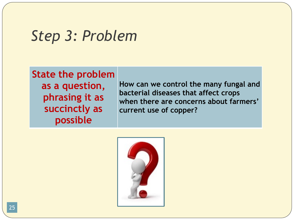### *Step 3: Problem*

**State the problem as a question, phrasing it as succinctly as possible**

**How can we control the many fungal and bacterial diseases that affect crops when there are concerns about farmers' current use of copper?**

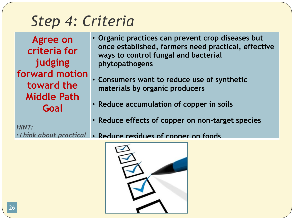# *Step 4: Criteria*

**Agree on criteria for judging forward motion toward the Middle Path Goal**

- **Organic practices can prevent crop diseases but once established, farmers need practical, effective ways to control fungal and bacterial phytopathogens**
- **Consumers want to reduce use of synthetic materials by organic producers**
- **Reduce accumulation of copper in soils**
- **Reduce effects of copper on non-target species**

*HINT:* 

•*Think about practical*  • **Reduce residues of copper on foods**

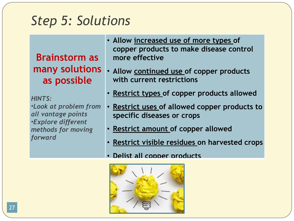### *Step 5: Solutions*

**Brainstorm as many solutions as possible**

*HINTS:*  •*Look at problem from all vantage points* •*Explore different methods for moving forward*

- **Allow increased use of more types of copper products to make disease control more effective**
- **Allow continued use of copper products with current restrictions**
- **Restrict types of copper products allowed**
- **Restrict uses of allowed copper products to specific diseases or crops**
- **Restrict amount of copper allowed**
- **Restrict visible residues on harvested crops**
- **Delist all copper products**

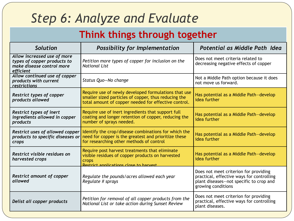### *Step 6: Analyze and Evaluate*

#### **Think things through together**

| <b>Solution</b>                                                                                      | <b>Possibility for Implementation</b>                                                                                                                                | Potential as Middle Path Idea                                                                                                                        |
|------------------------------------------------------------------------------------------------------|----------------------------------------------------------------------------------------------------------------------------------------------------------------------|------------------------------------------------------------------------------------------------------------------------------------------------------|
| Allow increased use of more<br>types of copper products to<br>make disease control more<br>efficient | Petition more types of copper for inclusion on the<br><b>National List</b>                                                                                           | Does not meet criteria related to<br>decreasing negative effects of copper                                                                           |
| Allow continued use of copper<br>products with current<br>restrictions                               | Status Quo-No change                                                                                                                                                 | Not a Middle Path option because it does<br>not move us forward.                                                                                     |
| <b>Restrict types of copper</b><br>products allowed                                                  | Require use of newly developed formulations that use<br>smaller sized particles of copper, thus reducing the<br>total amount of copper needed for effective control. | Has potential as a Middle Path-develop<br>idea further                                                                                               |
| <b>Restrict types of inert</b><br>ingredients allowed in copper<br>products                          | Require use of inert ingredients that support full<br>coating and longer retention of copper, reducing the<br>number of sprays needed.                               | Has potential as a Middle Path-develop<br>idea further                                                                                               |
| Restrict uses of allowed copper<br>products to specific diseases or<br>crops                         | Identify the crop/disease combinations for which the<br>need for copper is the greatest and prioritize these<br>for researching other methods of control             | Has potential as a Middle Path-develop<br>idea further                                                                                               |
| Restrict visible residues on<br>harvested crops                                                      | Require post harvest treatments that eliminate<br>visible residues of copper products on harvested<br>crops<br>Restrict annitrations close to harvest                | Has potential as a Middle Path-develop<br>idea further                                                                                               |
| <b>Restrict amount of copper</b><br>allowed                                                          | Regulate the pounds/acres allowed each year<br>Regulate # sprays                                                                                                     | Does not meet criterion for providing<br>practical, effective ways for controlling<br>plant diseases--not specific to crop and<br>growing conditions |
| Delist all copper products                                                                           | Petition for removal of all copper products from the<br>National List or take action during Sunset Review                                                            | Does not meet criterion for providing<br>practical, effective ways for controlling<br>plant diseases.                                                |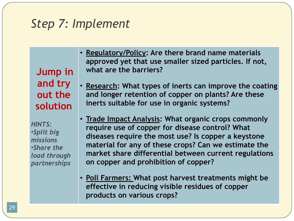### *Step 7: Implement*

**Jump in and try out the solution**

*HINTS:*  •*Split big missions* •*Share the load through partnerships*

- **Regulatory/Policy: Are there brand name materials approved yet that use smaller sized particles. If not, what are the barriers?**
- **Research: What types of inerts can improve the coating and longer retention of copper on plants? Are these inerts suitable for use in organic systems?**
- **Trade Impact Analysis: What organic crops commonly require use of copper for disease control? What diseases require the most use? Is copper a keystone material for any of these crops? Can we estimate the market share differential between current regulations on copper and prohibition of copper?**
- **Poll Farmers: What post harvest treatments might be effective in reducing visible residues of copper products on various crops?**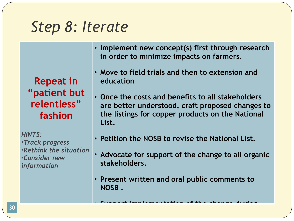## *Step 8: Iterate*

**Repeat in "patient but relentless" fashion** 

*HINTS:*  •*Track progress* •*Rethink the situation* •*Consider new information*

- **Implement new concept(s) first through research in order to minimize impacts on farmers.**
- **Move to field trials and then to extension and education**
- **Once the costs and benefits to all stakeholders are better understood, craft proposed changes to the listings for copper products on the National List.**
- **Petition the NOSB to revise the National List.**
- **Advocate for support of the change to all organic stakeholders.**
- **Present written and oral public comments to NOSB .**

• **Support implementation of the change during** <sup>30</sup>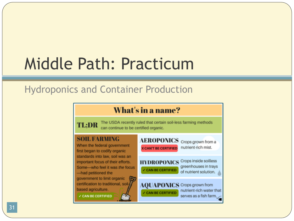# Middle Path: Practicum

#### Hydroponics and Container Production

#### What's in a name? The USDA recently ruled that certain soil-less farming methods TL:DR can continue to be certified organic. **SOIL FARMING** AEROPONICS Crops grown from a When the federal government nutrient-rich mist. **X CAN'T BE CERTIFIED** first began to codify organic standards into law, soil was an **HYDROPONICS** Crops inside soilless important focus of their efforts. greenhouses in trays Some-who feel it was the focus **V CAN BE CERTIFIED** of nutrient solution. -had petitioned the government to limit organic certification to traditional, soil-**AQUAPONICS** Crops grown from based agriculture. nutrient-rich water that **CAN BE CERTIFIED CAN BE CERTIFIED** serves as a fish farm.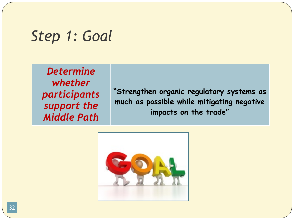### *Step 1: Goal*

*Determine whether participants support the Middle Path* 

*Goal* 

**"Strengthen organic regulatory systems as much as possible while mitigating negative impacts on the trade"**

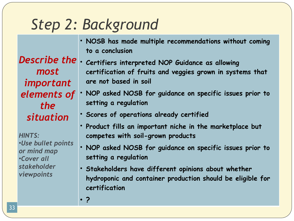# *Step 2: Background*

• **NOSB has made multiple recommendations without coming to a conclusion**

*most important the situation*

*HINTS:*  •*Use bullet points or mind map* •*Cover all stakeholder viewpoints*

- *Describe the*  **Certifiers interpreted NOP Guidance as allowing certification of fruits and veggies grown in systems that are not based in soil**
- *elements of*  **NOP asked NOSB for guidance on specific issues prior to setting a regulation**
	- **Scores of operations already certified**
	- **Product fills an important niche in the marketplace but competes with soil-grown products**
	- **NOP asked NOSB for guidance on specific issues prior to setting a regulation**
	- **Stakeholders have different opinions about whether hydroponic and container production should be eligible for certification**
	- **?**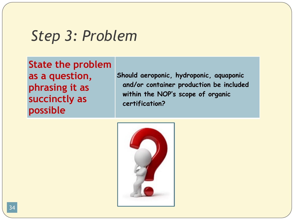### *Step 3: Problem*

**State the problem as a question, phrasing it as succinctly as possible**

**Should aeroponic, hydroponic, aquaponic and/or container production be included within the NOP's scope of organic certification?**

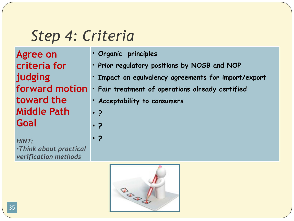## *Step 4: Criteria*

**Agree on criteria for judging toward the Middle Path Goal**

*HINT:*  •*Think about practical verification methods*

- **Organic principles**
- **Prior regulatory positions by NOSB and NOP**
- **Impact on equivalency agreements for import/export**
- **forward motion Fair treatment of operations already certified**
	- **Acceptability to consumers**
	- **?**
		- **?**
	- **?**

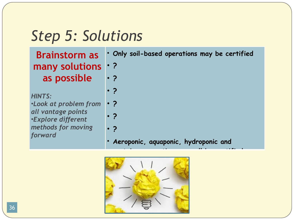# *Step 5: Solutions*

| <b>Brainstorm as</b>                            | . Only soil-based operations may be certified |
|-------------------------------------------------|-----------------------------------------------|
| many solutions   .?                             |                                               |
| as possible                                     | $\cdot$ ?                                     |
| <b>HINTS:</b>                                   | $\cdot$ ?                                     |
| .Look at problem from                           | $\cdot$ ?                                     |
| all vantage points<br><b>.Explore different</b> | $\cdot$ ?                                     |
| methods for moving                              | $\cdot$ ?                                     |
| forward                                         | Aeroponic, aquaponic, hydroponic and          |

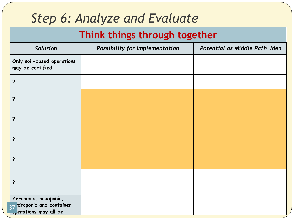### *Step 6: Analyze and Evaluate*

#### **Think things through together**

| Solution                                                                   | Possibility for Implementation | Potential as Middle Path Idea |
|----------------------------------------------------------------------------|--------------------------------|-------------------------------|
| Only soil-based operations<br>may be certified                             |                                |                               |
| $\ddot{\phantom{0}}$                                                       |                                |                               |
| ?                                                                          |                                |                               |
| $\ddot{\phantom{0}}$                                                       |                                |                               |
| ?                                                                          |                                |                               |
| ?                                                                          |                                |                               |
| ?                                                                          |                                |                               |
| Aeroponic, aquaponic,<br>37 droponic and container<br>Perations may all be |                                |                               |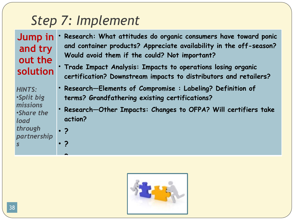### *Step 7: Implement*

**Jump in and try out the solution**

*HINTS:*  •*Split big missions* •*Share the load through partnership s*

• **?**

• **?**

• **?**

- **Research: What attitudes do organic consumers have toward ponic and container products? Appreciate availability in the off-season? Would avoid them if the could? Not important?**
- **Trade Impact Analysis: Impacts to operations losing organic certification? Downstream impacts to distributors and retailers?**
- **Research—Elements of Compromise : Labeling? Definition of terms? Grandfathering existing certifications?**
- **Research—Other Impacts: Changes to OFPA? Will certifiers take action?**

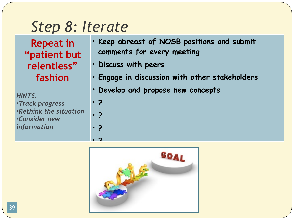### *Step 8: Iterate*

**Repeat in "patient but relentless" fashion**

*HINTS:*  •*Track progress* •*Rethink the situation* •*Consider new information*

- **Keep abreast of NOSB positions and submit comments for every meeting**
- **Discuss with peers**
- **Engage in discussion with other stakeholders**
- **Develop and propose new concepts**
- **?**

• **?**

• **?**